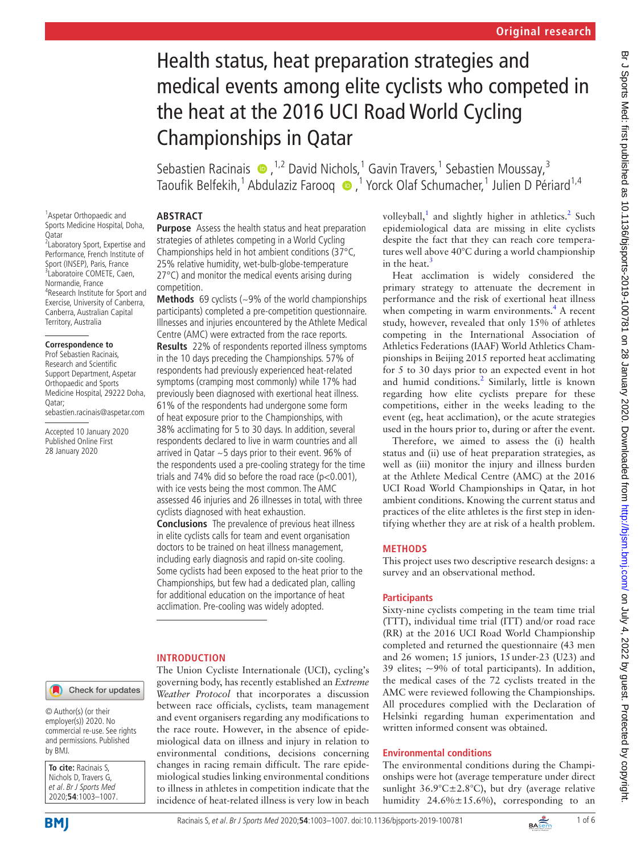# Health status, heat preparation strategies and medical events among elite cyclists who competed in the heat at the 2016 UCI Road World Cycling Championships in Qatar

Sebastien Racinais  $\bigcirc$ , <sup>1,2</sup> David Nichols, <sup>1</sup> Gavin Travers, <sup>1</sup> Sebastien Moussay, <sup>3</sup> Taoufik Belfekih,<sup>1</sup> Abdulaziz Farooq (D, <sup>1</sup> Yorck Olaf Schumacher,<sup>1</sup> Julien D Périard<sup>1,4</sup>

# **Abstract**

<sup>1</sup> Aspetar Orthopaedic and Sports Medicine Hospital, Doha, Qatar 2 Laboratory Sport, Expertise and Performance, French Institute of Sport (INSEP), Paris, France

3 Laboratoire COMETE, Caen, Normandie, France 4 Research Institute for Sport and Exercise, University of Canberra, Canberra, Australian Capital Territory, Australia

#### **Correspondence to**

Prof Sebastien Racinais, Research and Scientific Support Department, Aspetar Orthopaedic and Sports Medicine Hospital, 29222 Doha, Qatar;

sebastien.racinais@aspetar.com

Accepted 10 January 2020 Published Online First 28 January 2020

**Purpose** Assess the health status and heat preparation strategies of athletes competing in a World Cycling Championships held in hot ambient conditions (37°C, 25% relative humidity, wet-bulb-globe-temperature 27°C) and monitor the medical events arising during competition.

**Methods** 69 cyclists (~9% of the world championships participants) completed a pre-competition questionnaire. Illnesses and injuries encountered by the Athlete Medical Centre (AMC) were extracted from the race reports. **Results** 22% of respondents reported illness symptoms in the 10 days preceding the Championships. 57% of respondents had previously experienced heat-related symptoms (cramping most commonly) while 17% had previously been diagnosed with exertional heat illness. 61% of the respondents had undergone some form of heat exposure prior to the Championships, with 38% acclimating for 5 to 30 days. In addition, several respondents declared to live in warm countries and all arrived in Qatar ~5 days prior to their event. 96% of the respondents used a pre-cooling strategy for the time trials and 74% did so before the road race ( $p < 0.001$ ), with ice vests being the most common. The AMC assessed 46 injuries and 26 illnesses in total, with three cyclists diagnosed with heat exhaustion.

**Conclusions** The prevalence of previous heat illness in elite cyclists calls for team and event organisation doctors to be trained on heat illness management, including early diagnosis and rapid on-site cooling. Some cyclists had been exposed to the heat prior to the Championships, but few had a dedicated plan, calling for additional education on the importance of heat acclimation. Pre-cooling was widely adopted.

# **Introduction**

The Union Cycliste Internationale (UCI), cycling's governing body, has recently established an *Extreme Weather Protocol* that incorporates a discussion between race officials, cyclists, team management and event organisers regarding any modifications to the race route. However, in the absence of epidemiological data on illness and injury in relation to environmental conditions, decisions concerning changes in racing remain difficult. The rare epidemiological studies linking environmental conditions to illness in athletes in competition indicate that the incidence of heat-related illness is very low in beach

volleyball,<sup>1</sup> and slightly higher in athletics.<sup>2</sup> Such epidemiological data are missing in elite cyclists despite the fact that they can reach core temperatures well above 40°C during a world championship in the heat.<sup>[3](#page-5-2)</sup>

Heat acclimation is widely considered the primary strategy to attenuate the decrement in performance and the risk of exertional heat illness when competing in warm environments.<sup>[4](#page-5-3)</sup> A recent study, however, revealed that only 15% of athletes competing in the International Association of Athletics Federations (IAAF) World Athletics Championships in Beijing 2015 reported heat acclimating for 5 to 30 days prior to an expected event in hot and humid conditions.<sup>[2](#page-5-1)</sup> Similarly, little is known regarding how elite cyclists prepare for these competitions, either in the weeks leading to the event (eg, heat acclimation), or the acute strategies used in the hours prior to, during or after the event.

Therefore, we aimed to assess the (i) health status and (ii) use of heat preparation strategies, as well as (iii) monitor the injury and illness burden at the Athlete Medical Centre (AMC) at the 2016 UCI Road World Championships in Qatar, in hot ambient conditions. Knowing the current status and practices of the elite athletes is the first step in identifying whether they are at risk of a health problem.

# **Methods**

This project uses two descriptive research designs: a survey and an observational method.

# **Participants**

Sixty-nine cyclists competing in the team time trial (TTT), individual time trial (ITT) and/or road race (RR) at the 2016 UCI Road World Championship completed and returned the questionnaire (43 men and 26 women; 15 juniors, 15under-23 (U23) and 39 elites; ~9% of total participants). In addition, the medical cases of the 72 cyclists treated in the AMC were reviewed following the Championships. All procedures complied with the Declaration of Helsinki regarding human experimentation and written informed consent was obtained.

# **Environmental conditions**

The environmental conditions during the Championships were hot (average temperature under direct sunlight  $36.9^{\circ}$ C $\pm$ 2.8°C), but dry (average relative humidity 24.6%±15.6%), corresponding to an

Check for updates

© Author(s) (or their employer(s)) 2020. No commercial re-use. See rights and permissions. Published by BMJ.

| To cite: Racinais S.   |
|------------------------|
| Nichols D, Travers G,  |
| et al. Br J Sports Med |
| 2020:54:1003-1007.     |

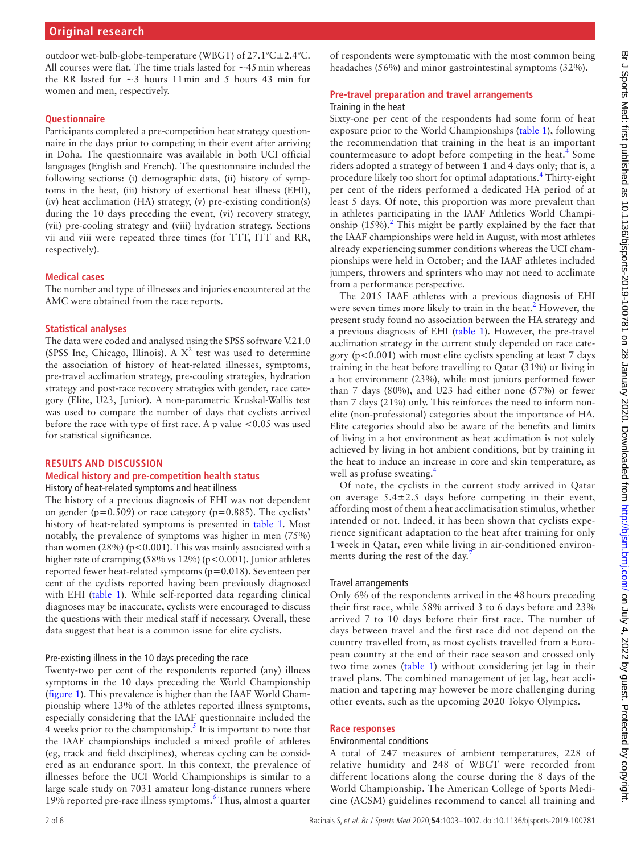outdoor wet-bulb-globe-temperature (WBGT) of 27.1°C±2.4°C. All courses were flat. The time trials lasted for  $\sim$ 45 min whereas the RR lasted for  $\sim$ 3 hours 11 min and 5 hours 43 min for women and men, respectively.

#### **Questionnaire**

Participants completed a pre-competition heat strategy questionnaire in the days prior to competing in their event after arriving in Doha. The questionnaire was available in both UCI official languages (English and French). The questionnaire included the following sections: (i) demographic data, (ii) history of symptoms in the heat, (iii) history of exertional heat illness (EHI), (iv) heat acclimation (HA) strategy, (v) pre-existing condition(s) during the 10 days preceding the event, (vi) recovery strategy, (vii) pre-cooling strategy and (viii) hydration strategy. Sections vii and viii were repeated three times (for TTT, ITT and RR, respectively).

### **Medical cases**

The number and type of illnesses and injuries encountered at the AMC were obtained from the race reports.

# **Statistical analyses**

The data were coded and analysed using the SPSS software V.21.0 (SPSS Inc, Chicago, Illinois). A  $X^2$  test was used to determine the association of history of heat-related illnesses, symptoms, pre-travel acclimation strategy, pre-cooling strategies, hydration strategy and post-race recovery strategies with gender, race category (Elite, U23, Junior). A non-parametric Kruskal-Wallis test was used to compare the number of days that cyclists arrived before the race with type of first race. A p value <0.05 was used for statistical significance.

# **Results and discussion**

# **Medical history and pre-competition health status**

History of heat-related symptoms and heat illness The history of a previous diagnosis of EHI was not dependent on gender ( $p=0.509$ ) or race category ( $p=0.885$ ). The cyclists' history of heat-related symptoms is presented in [table](#page-2-0) 1. Most notably, the prevalence of symptoms was higher in men (75%) than women (28%) ( $p < 0.001$ ). This was mainly associated with a higher rate of cramping  $(58\% \text{ vs } 12\%)$  (p<0.001). Junior athletes reported fewer heat-related symptoms (p=0.018). Seventeen per cent of the cyclists reported having been previously diagnosed with EHI ([table](#page-2-0) 1). While self-reported data regarding clinical diagnoses may be inaccurate, cyclists were encouraged to discuss the questions with their medical staff if necessary. Overall, these data suggest that heat is a common issue for elite cyclists.

### Pre-existing illness in the 10 days preceding the race

Twenty-two per cent of the respondents reported (any) illness symptoms in the 10 days preceding the World Championship ([figure](#page-3-0) 1). This prevalence is higher than the IAAF World Championship where 13% of the athletes reported illness symptoms, especially considering that the IAAF questionnaire included the 4 weeks prior to the championship.<sup>[5](#page-5-4)</sup> It is important to note that the IAAF championships included a mixed profile of athletes (eg, track and field disciplines), whereas cycling can be considered as an endurance sport. In this context, the prevalence of illnesses before the UCI World Championships is similar to a large scale study on 7031 amateur long-distance runners where 19% reported pre-race illness symptoms.<sup>[6](#page-5-5)</sup> Thus, almost a quarter

of respondents were symptomatic with the most common being headaches (56%) and minor gastrointestinal symptoms (32%).

#### **Pre-travel preparation and travel arrangements** Training in the heat

Sixty-one per cent of the respondents had some form of heat exposure prior to the World Championships ([table](#page-2-0) 1), following the recommendation that training in the heat is an important countermeasure to adopt before competing in the heat.<sup>[4](#page-5-3)</sup> Some riders adopted a strategy of between 1 and 4 days only; that is, a procedure likely too short for optimal adaptations.<sup>[4](#page-5-3)</sup> Thirty-eight per cent of the riders performed a dedicated HA period of at least 5 days. Of note, this proportion was more prevalent than in athletes participating in the IAAF Athletics World Championship  $(15\%)$ .<sup>2</sup> This might be partly explained by the fact that the IAAF championships were held in August, with most athletes already experiencing summer conditions whereas the UCI championships were held in October; and the IAAF athletes included jumpers, throwers and sprinters who may not need to acclimate from a performance perspective.

The 2015 IAAF athletes with a previous diagnosis of EHI were seven times more likely to train in the heat.<sup>[2](#page-5-1)</sup> However, the present study found no association between the HA strategy and a previous diagnosis of EHI [\(table](#page-2-0) 1). However, the pre-travel acclimation strategy in the current study depended on race category ( $p < 0.001$ ) with most elite cyclists spending at least 7 days training in the heat before travelling to Qatar (31%) or living in a hot environment (23%), while most juniors performed fewer than 7 days (80%), and U23 had either none (57%) or fewer than 7 days (21%) only. This reinforces the need to inform nonelite (non-professional) categories about the importance of HA. Elite categories should also be aware of the benefits and limits of living in a hot environment as heat acclimation is not solely achieved by living in hot ambient conditions, but by training in the heat to induce an increase in core and skin temperature, as well as profuse sweating.<sup>[4](#page-5-3)</sup>

Of note, the cyclists in the current study arrived in Qatar on average  $5.4 \pm 2.5$  days before competing in their event, affording most of them a heat acclimatisation stimulus, whether intended or not. Indeed, it has been shown that cyclists experience significant adaptation to the heat after training for only 1 week in Qatar, even while living in air-conditioned environments during the rest of the day.

### Travel arrangements

Only 6% of the respondents arrived in the 48 hours preceding their first race, while 58% arrived 3 to 6 days before and 23% arrived 7 to 10 days before their first race. The number of days between travel and the first race did not depend on the country travelled from, as most cyclists travelled from a European country at the end of their race season and crossed only two time zones ([table](#page-2-0) 1) without considering jet lag in their travel plans. The combined management of jet lag, heat acclimation and tapering may however be more challenging during other events, such as the upcoming 2020 Tokyo Olympics.

#### **Race responses**

#### Environmental conditions

A total of 247 measures of ambient temperatures, 228 of relative humidity and 248 of WBGT were recorded from different locations along the course during the 8 days of the World Championship. The American College of Sports Medicine (ACSM) guidelines recommend to cancel all training and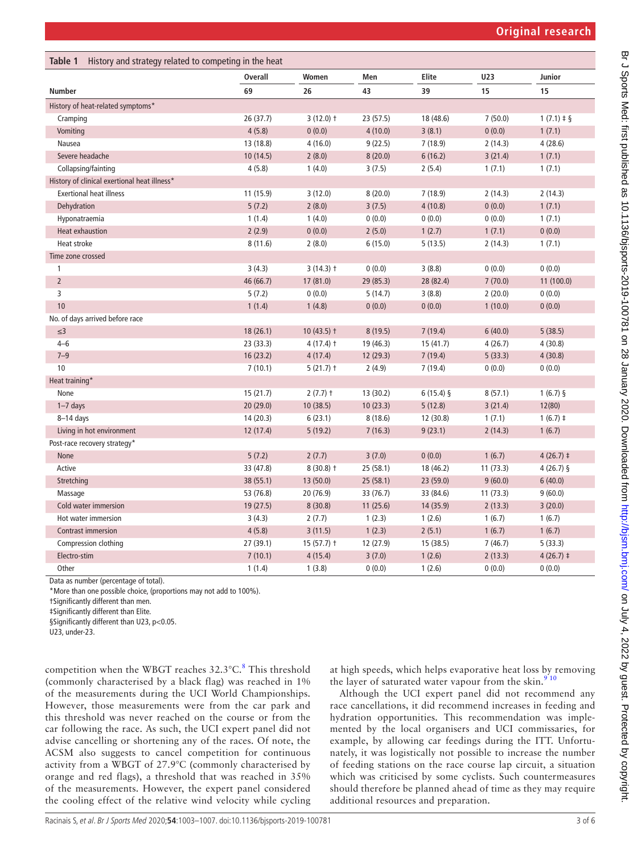<span id="page-2-0"></span>

| Table 1<br>History and strategy related to competing in the heat |                |              |           |             |          |                 |  |
|------------------------------------------------------------------|----------------|--------------|-----------|-------------|----------|-----------------|--|
|                                                                  | <b>Overall</b> | Women        | Men       | Elite       | U23      | Junior          |  |
| <b>Number</b>                                                    | 69             | 26           | 43        | 39          | 15       | 15              |  |
| History of heat-related symptoms*                                |                |              |           |             |          |                 |  |
| Cramping                                                         | 26(37.7)       | $3(12.0)$ †  | 23 (57.5) | 18 (48.6)   | 7(50.0)  | $1(7.1) \pm \S$ |  |
| Vomiting                                                         | 4(5.8)         | 0(0.0)       | 4(10.0)   | 3(8.1)      | 0(0.0)   | 1(7.1)          |  |
| Nausea                                                           | 13 (18.8)      | 4(16.0)      | 9(22.5)   | 7(18.9)     | 2(14.3)  | 4(28.6)         |  |
| Severe headache                                                  | 10(14.5)       | 2(8.0)       | 8(20.0)   | 6(16.2)     | 3(21.4)  | 1(7.1)          |  |
| Collapsing/fainting                                              | 4(5.8)         | 1(4.0)       | 3(7.5)    | 2(5.4)      | 1(7.1)   | 1(7.1)          |  |
| History of clinical exertional heat illness*                     |                |              |           |             |          |                 |  |
| <b>Exertional heat illness</b>                                   | 11(15.9)       | 3(12.0)      | 8(20.0)   | 7(18.9)     | 2(14.3)  | 2(14.3)         |  |
| Dehydration                                                      | 5(7.2)         | 2(8.0)       | 3(7.5)    | 4(10.8)     | 0(0.0)   | 1(7.1)          |  |
| Hyponatraemia                                                    | 1(1.4)         | 1(4.0)       | 0(0.0)    | 0(0.0)      | 0(0.0)   | 1(7.1)          |  |
| <b>Heat exhaustion</b>                                           | 2(2.9)         | 0(0.0)       | 2(5.0)    | 1(2.7)      | 1(7.1)   | 0(0.0)          |  |
| <b>Heat stroke</b>                                               | 8(11.6)        | 2(8.0)       | 6(15.0)   | 5(13.5)     | 2(14.3)  | 1(7.1)          |  |
| Time zone crossed                                                |                |              |           |             |          |                 |  |
| $\mathbf{1}$                                                     | 3(4.3)         | $3(14.3)$ †  | 0(0.0)    | 3(8.8)      | 0(0.0)   | 0(0.0)          |  |
| $\overline{2}$                                                   | 46 (66.7)      | 17 (81.0)    | 29 (85.3) | 28 (82.4)   | 7(70.0)  | 11 (100.0)      |  |
| $\overline{3}$                                                   | 5(7.2)         | 0(0.0)       | 5(14.7)   | 3(8.8)      | 2(20.0)  | 0(0.0)          |  |
| 10                                                               | 1(1.4)         | 1(4.8)       | 0(0.0)    | 0(0.0)      | 1(10.0)  | 0(0.0)          |  |
| No. of days arrived before race                                  |                |              |           |             |          |                 |  |
| $\leq$ 3                                                         | 18(26.1)       | $10(43.5)$ † | 8(19.5)   | 7(19.4)     | 6(40.0)  | 5(38.5)         |  |
| $4 - 6$                                                          | 23(33.3)       | $4(17.4)$ †  | 19 (46.3) | 15(41.7)    | 4(26.7)  | 4(30.8)         |  |
| $7 - 9$                                                          | 16(23.2)       | 4(17.4)      | 12 (29.3) | 7(19.4)     | 5(33.3)  | 4(30.8)         |  |
| 10                                                               | 7(10.1)        | $5(21.7)$ †  | 2(4.9)    | 7(19.4)     | 0(0.0)   | 0(0.0)          |  |
| Heat training*                                                   |                |              |           |             |          |                 |  |
| None                                                             | 15(21.7)       | $2(7.7)$ †   | 13(30.2)  | $6(15.4)$ § | 8(57.1)  | $1(6.7)$ §      |  |
| $1 - 7$ days                                                     | 20(29.0)       | 10(38.5)     | 10(23.3)  | 5(12.8)     | 3(21.4)  | 12(80)          |  |
| $8-14$ days                                                      | 14(20.3)       | 6(23.1)      | 8(18.6)   | 12 (30.8)   | 1(7.1)   | $1(6.7)$ ‡      |  |
| Living in hot environment                                        | 12 (17.4)      | 5(19.2)      | 7(16.3)   | 9(23.1)     | 2(14.3)  | 1(6.7)          |  |
| Post-race recovery strategy*                                     |                |              |           |             |          |                 |  |
| None                                                             | 5(7.2)         | 2(7.7)       | 3(7.0)    | 0(0.0)      | 1(6.7)   | $4(26.7)$ ‡     |  |
| Active                                                           | 33 (47.8)      | $8(30.8)$ †  | 25 (58.1) | 18 (46.2)   | 11(73.3) | $4(26.7)$ §     |  |
| Stretching                                                       | 38(55.1)       | 13(50.0)     | 25(58.1)  | 23 (59.0)   | 9(60.0)  | 6(40.0)         |  |
| Massage                                                          | 53 (76.8)      | 20 (76.9)    | 33 (76.7) | 33 (84.6)   | 11(73.3) | 9(60.0)         |  |
| Cold water immersion                                             | 19 (27.5)      | 8(30.8)      | 11(25.6)  | 14 (35.9)   | 2(13.3)  | 3(20.0)         |  |
| Hot water immersion                                              | 3(4.3)         | 2(7.7)       | 1(2.3)    | 1(2.6)      | 1(6.7)   | 1(6.7)          |  |
| Contrast immersion                                               | 4(5.8)         | 3(11.5)      | 1(2.3)    | 2(5.1)      | 1(6.7)   | 1(6.7)          |  |
| Compression clothing                                             | 27(39.1)       | $15(57.7)$ † | 12 (27.9) | 15(38.5)    | 7(46.7)  | 5(33.3)         |  |
| Electro-stim                                                     | 7(10.1)        | 4(15.4)      | 3(7.0)    | 1(2.6)      | 2(13.3)  | $4(26.7)$ ‡     |  |
| Other                                                            | 1(1.4)         | 1(3.8)       | 0(0.0)    | 1(2.6)      | 0(0.0)   | 0(0.0)          |  |

Data as number (percentage of total).

\*More than one possible choice, (proportions may not add to 100%).

†Significantly different than men.

‡Significantly different than Elite.

§Significantly different than U23, p<0.05.

U23, under-23.

competition when the WBGT reaches 32.3°C.<sup>[8](#page-5-7)</sup> This threshold (commonly characterised by a black flag) was reached in 1% of the measurements during the UCI World Championships. However, those measurements were from the car park and this threshold was never reached on the course or from the car following the race. As such, the UCI expert panel did not advise cancelling or shortening any of the races. Of note, the ACSM also suggests to cancel competition for continuous activity from a WBGT of 27.9°C (commonly characterised by orange and red flags), a threshold that was reached in 35% of the measurements. However, the expert panel considered the cooling effect of the relative wind velocity while cycling

at high speeds, which helps evaporative heat loss by removing the layer of saturated water vapour from the skin. $910$ 

Although the UCI expert panel did not recommend any race cancellations, it did recommend increases in feeding and hydration opportunities. This recommendation was implemented by the local organisers and UCI commissaries, for example, by allowing car feedings during the ITT. Unfortunately, it was logistically not possible to increase the number of feeding stations on the race course lap circuit, a situation which was criticised by some cyclists. Such countermeasures should therefore be planned ahead of time as they may require additional resources and preparation.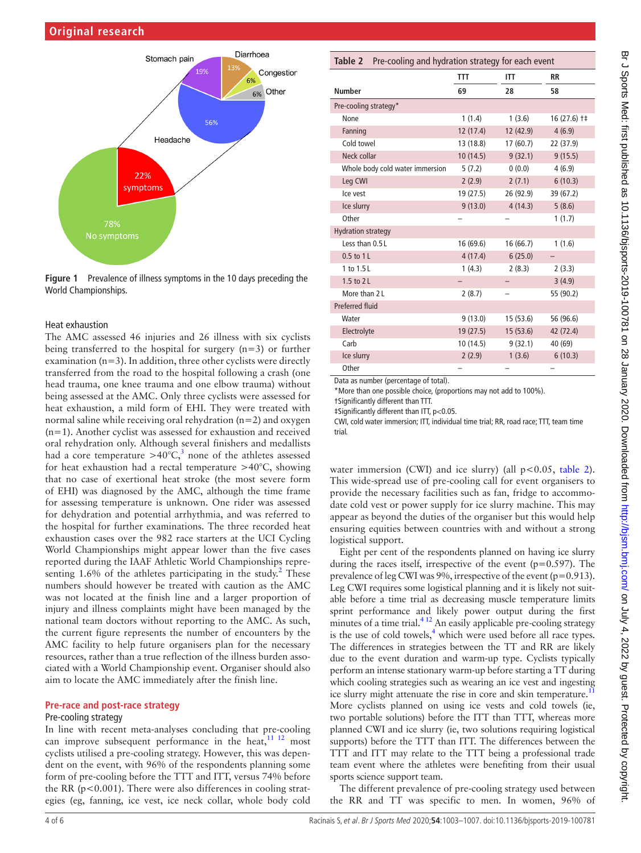

<span id="page-3-0"></span>**Figure 1** Prevalence of illness symptoms in the 10 days preceding the World Championships.

#### Heat exhaustion

The AMC assessed 46 injuries and 26 illness with six cyclists being transferred to the hospital for surgery (n=3) or further examination  $(n=3)$ . In addition, three other cyclists were directly transferred from the road to the hospital following a crash (one head trauma, one knee trauma and one elbow trauma) without being assessed at the AMC. Only three cyclists were assessed for heat exhaustion, a mild form of EHI. They were treated with normal saline while receiving oral rehydration (n=2) and oxygen  $(n=1)$ . Another cyclist was assessed for exhaustion and received oral rehydration only. Although several finishers and medallists had a core temperature  $>$ 40°C,<sup>[3](#page-5-2)</sup> none of the athletes assessed for heat exhaustion had a rectal temperature >40°C, showing that no case of exertional heat stroke (the most severe form of EHI) was diagnosed by the AMC, although the time frame for assessing temperature is unknown. One rider was assessed for dehydration and potential arrhythmia, and was referred to the hospital for further examinations. The three recorded heat exhaustion cases over the 982 race starters at the UCI Cycling World Championships might appear lower than the five cases reported during the IAAF Athletic World Championships repre-senting 1.6% of the athletes participating in the study.<sup>[2](#page-5-1)</sup> These numbers should however be treated with caution as the AMC was not located at the finish line and a larger proportion of injury and illness complaints might have been managed by the national team doctors without reporting to the AMC. As such, the current figure represents the number of encounters by the AMC facility to help future organisers plan for the necessary resources, rather than a true reflection of the illness burden associated with a World Championship event. Organiser should also aim to locate the AMC immediately after the finish line.

#### **Pre-race and post-race strategy**

#### Pre-cooling strategy

In line with recent meta-analyses concluding that pre-cooling can improve subsequent performance in the heat,  $11$   $12$  most cyclists utilised a pre-cooling strategy. However, this was dependent on the event, with 96% of the respondents planning some form of pre-cooling before the TTT and ITT, versus 74% before the RR (p<0.001). There were also differences in cooling strategies (eg, fanning, ice vest, ice neck collar, whole body cold

<span id="page-3-1"></span>

| Pre-cooling and hydration strategy for each event<br>Table 2 |           |           |              |  |  |  |
|--------------------------------------------------------------|-----------|-----------|--------------|--|--|--|
|                                                              | TTT       | ITT       | <b>RR</b>    |  |  |  |
| <b>Number</b>                                                | 69        | 28        | 58           |  |  |  |
| Pre-cooling strategy*                                        |           |           |              |  |  |  |
| None                                                         | 1(1.4)    | 1(3.6)    | 16 (27.6) †‡ |  |  |  |
| Fanning                                                      | 12(17.4)  | 12 (42.9) | 4(6.9)       |  |  |  |
| Cold towel                                                   | 13 (18.8) | 17(60.7)  | 22 (37.9)    |  |  |  |
| Neck collar                                                  | 10(14.5)  | 9(32.1)   | 9(15.5)      |  |  |  |
| Whole body cold water immersion                              | 5(7.2)    | 0(0.0)    | 4(6.9)       |  |  |  |
| Leg CWI                                                      | 2(2.9)    | 2(7.1)    | 6(10.3)      |  |  |  |
| Ice vest                                                     | 19 (27.5) | 26 (92.9) | 39 (67.2)    |  |  |  |
| Ice slurry                                                   | 9(13.0)   | 4(14.3)   | 5(8.6)       |  |  |  |
| Other                                                        |           |           | 1(1.7)       |  |  |  |
| <b>Hydration strategy</b>                                    |           |           |              |  |  |  |
| Less than 0.5 L                                              | 16 (69.6) | 16 (66.7) | 1(1.6)       |  |  |  |
| 0.5 to 1L                                                    | 4(17.4)   | 6(25.0)   |              |  |  |  |
| 1 to 1.5L                                                    | 1(4.3)    | 2(8.3)    | 2(3.3)       |  |  |  |
| 1.5 to 2L                                                    |           |           | 3(4.9)       |  |  |  |
| More than 2 L                                                | 2(8.7)    |           | 55 (90.2)    |  |  |  |
| <b>Preferred fluid</b>                                       |           |           |              |  |  |  |
| Water                                                        | 9(13.0)   | 15 (53.6) | 56 (96.6)    |  |  |  |
| Electrolyte                                                  | 19(27.5)  | 15(53.6)  | 42 (72.4)    |  |  |  |
| Carb                                                         | 10(14.5)  | 9(32.1)   | 40 (69)      |  |  |  |
| Ice slurry                                                   | 2(2.9)    | 1(3.6)    | 6(10.3)      |  |  |  |
| Other                                                        |           |           |              |  |  |  |

Data as number (percentage of total).

\*More than one possible choice, (proportions may not add to 100%).

†Significantly different than TTT.

‡Significantly different than ITT, p<0.05.

CWI, cold water immersion; ITT, individual time trial; RR, road race; TTT, team time trial.

water immersion (CWI) and ice slurry) (all  $p < 0.05$ , [table](#page-3-1) 2). This wide-spread use of pre-cooling call for event organisers to provide the necessary facilities such as fan, fridge to accommodate cold vest or power supply for ice slurry machine. This may appear as beyond the duties of the organiser but this would help ensuring equities between countries with and without a strong logistical support.

Eight per cent of the respondents planned on having ice slurry during the races itself, irrespective of the event  $(p=0.597)$ . The prevalence of leg CWI was 9%, irrespective of the event (p=0.913). Leg CWI requires some logistical planning and it is likely not suitable before a time trial as decreasing muscle temperature limits sprint performance and likely power output during the first minutes of a time trial.<sup>4 12</sup> An easily applicable pre-cooling strategy is the use of cold towels, $<sup>4</sup>$  which were used before all race types.</sup> The differences in strategies between the TT and RR are likely due to the event duration and warm-up type. Cyclists typically perform an intense stationary warm-up before starting a TT during which cooling strategies such as wearing an ice vest and ingesting ice slurry might attenuate the rise in core and skin temperature.<sup>1</sup> More cyclists planned on using ice vests and cold towels (ie, two portable solutions) before the ITT than TTT, whereas more planned CWI and ice slurry (ie, two solutions requiring logistical supports) before the TTT than ITT. The differences between the TTT and ITT may relate to the TTT being a professional trade team event where the athletes were benefiting from their usual sports science support team.

The different prevalence of pre-cooling strategy used between the RR and TT was specific to men. In women, 96% of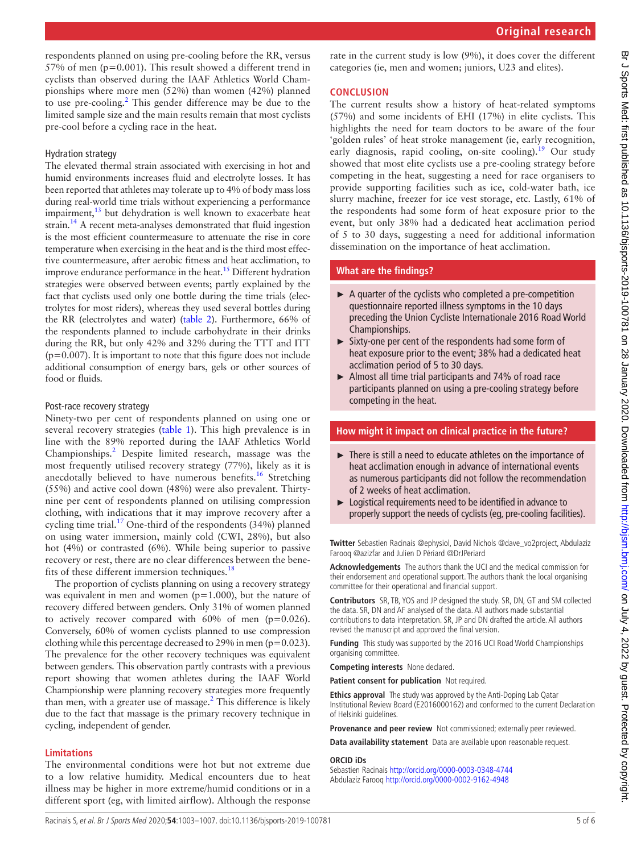respondents planned on using pre-cooling before the RR, versus 57% of men (p=0.001). This result showed a different trend in cyclists than observed during the IAAF Athletics World Championships where more men (52%) than women (42%) planned to use pre-cooling.<sup>[2](#page-5-1)</sup> This gender difference may be due to the limited sample size and the main results remain that most cyclists pre-cool before a cycling race in the heat.

# Hydration strategy

The elevated thermal strain associated with exercising in hot and humid environments increases fluid and electrolyte losses. It has been reported that athletes may tolerate up to 4% of body mass loss during real-world time trials without experiencing a performance impairment,<sup>[13](#page-5-10)</sup> but dehydration is well known to exacerbate heat strain[.14](#page-5-11) A recent meta-analyses demonstrated that fluid ingestion is the most efficient countermeasure to attenuate the rise in core temperature when exercising in the heat and is the third most effective countermeasure, after aerobic fitness and heat acclimation, to improve endurance performance in the heat.<sup>15</sup> Different hydration strategies were observed between events; partly explained by the fact that cyclists used only one bottle during the time trials (electrolytes for most riders), whereas they used several bottles during the RR (electrolytes and water) [\(table](#page-3-1) 2). Furthermore, 66% of the respondents planned to include carbohydrate in their drinks during the RR, but only 42% and 32% during the TTT and ITT  $(p=0.007)$ . It is important to note that this figure does not include additional consumption of energy bars, gels or other sources of food or fluids.

#### Post-race recovery strategy

Ninety-two per cent of respondents planned on using one or several recovery strategies [\(table](#page-2-0) 1). This high prevalence is in line with the 89% reported during the IAAF Athletics World Championships.[2](#page-5-1) Despite limited research, massage was the most frequently utilised recovery strategy (77%), likely as it is anecdotally believed to have numerous benefits.<sup>16</sup> Stretching (55%) and active cool down (48%) were also prevalent. Thirtynine per cent of respondents planned on utilising compression clothing, with indications that it may improve recovery after a cycling time trial.<sup>[17](#page-5-14)</sup> One-third of the respondents  $(34%)$  planned on using water immersion, mainly cold (CWI, 28%), but also hot (4%) or contrasted (6%). While being superior to passive recovery or rest, there are no clear differences between the bene-fits of these different immersion techniques.<sup>[18](#page-5-15)</sup>

The proportion of cyclists planning on using a recovery strategy was equivalent in men and women (p=1.000), but the nature of recovery differed between genders. Only 31% of women planned to actively recover compared with 60% of men (p=0.026). Conversely, 60% of women cyclists planned to use compression clothing while this percentage decreased to 29% in men ( $p=0.023$ ). The prevalence for the other recovery techniques was equivalent between genders. This observation partly contrasts with a previous report showing that women athletes during the IAAF World Championship were planning recovery strategies more frequently than men, with a greater use of massage.<sup>2</sup> This difference is likely due to the fact that massage is the primary recovery technique in cycling, independent of gender.

# **Limitations**

The environmental conditions were hot but not extreme due to a low relative humidity. Medical encounters due to heat illness may be higher in more extreme/humid conditions or in a different sport (eg, with limited airflow). Although the response

rate in the current study is low (9%), it does cover the different categories (ie, men and women; juniors, U23 and elites).

# **Conclusion**

The current results show a history of heat-related symptoms (57%) and some incidents of EHI (17%) in elite cyclists. This highlights the need for team doctors to be aware of the four 'golden rules' of heat stroke management (ie, early recognition, early diagnosis, rapid cooling, on-site cooling).<sup>19</sup> Our study showed that most elite cyclists use a pre-cooling strategy before competing in the heat, suggesting a need for race organisers to provide supporting facilities such as ice, cold-water bath, ice slurry machine, freezer for ice vest storage, etc. Lastly, 61% of the respondents had some form of heat exposure prior to the event, but only 38% had a dedicated heat acclimation period of 5 to 30 days, suggesting a need for additional information dissemination on the importance of heat acclimation.

# **What are the findings?**

- $\triangleright$  A quarter of the cyclists who completed a pre-competition questionnaire reported illness symptoms in the 10 days preceding the Union Cycliste Internationale 2016 Road World Championships.
- ► Sixty-one per cent of the respondents had some form of heat exposure prior to the event; 38% had a dedicated heat acclimation period of 5 to 30 days.
- $\blacktriangleright$  Almost all time trial participants and 74% of road race participants planned on using a pre-cooling strategy before competing in the heat.

# **How might it impact on clinical practice in the future?**

- ► There is still a need to educate athletes on the importance of heat acclimation enough in advance of international events as numerous participants did not follow the recommendation of 2 weeks of heat acclimation.
- ► Logistical requirements need to be identified in advance to properly support the needs of cyclists (eg, pre-cooling facilities).

**Twitter** Sebastien Racinais [@ephysiol,](https://twitter.com/ephysiol) David Nichols [@dave\\_vo2project,](https://twitter.com/dave_vo2project) Abdulaziz Farooq [@azizfar](https://twitter.com/azizfar) and Julien D Périard [@DrJPeriard](https://twitter.com/DrJPeriard)

**Acknowledgements** The authors thank the UCI and the medical commission for their endorsement and operational support. The authors thank the local organising committee for their operational and financial support.

**Contributors** SR, TB, YOS and JP designed the study. SR, DN, GT and SM collected the data. SR, DN and AF analysed of the data. All authors made substantial contributions to data interpretation. SR, JP and DN drafted the article. All authors revised the manuscript and approved the final version.

**Funding** This study was supported by the 2016 UCI Road World Championships organising committee.

**Competing interests** None declared.

**Patient consent for publication** Not required.

**Ethics approval** The study was approved by the Anti-Doping Lab Qatar Institutional Review Board (E2016000162) and conformed to the current Declaration of Helsinki guidelines.

**Provenance and peer review** Not commissioned; externally peer reviewed.

**Data availability statement** Data are available upon reasonable request.

### **ORCID iDs**

Sebastien Racinais<http://orcid.org/0000-0003-0348-4744> Abdulaziz Farooq <http://orcid.org/0000-0002-9162-4948>